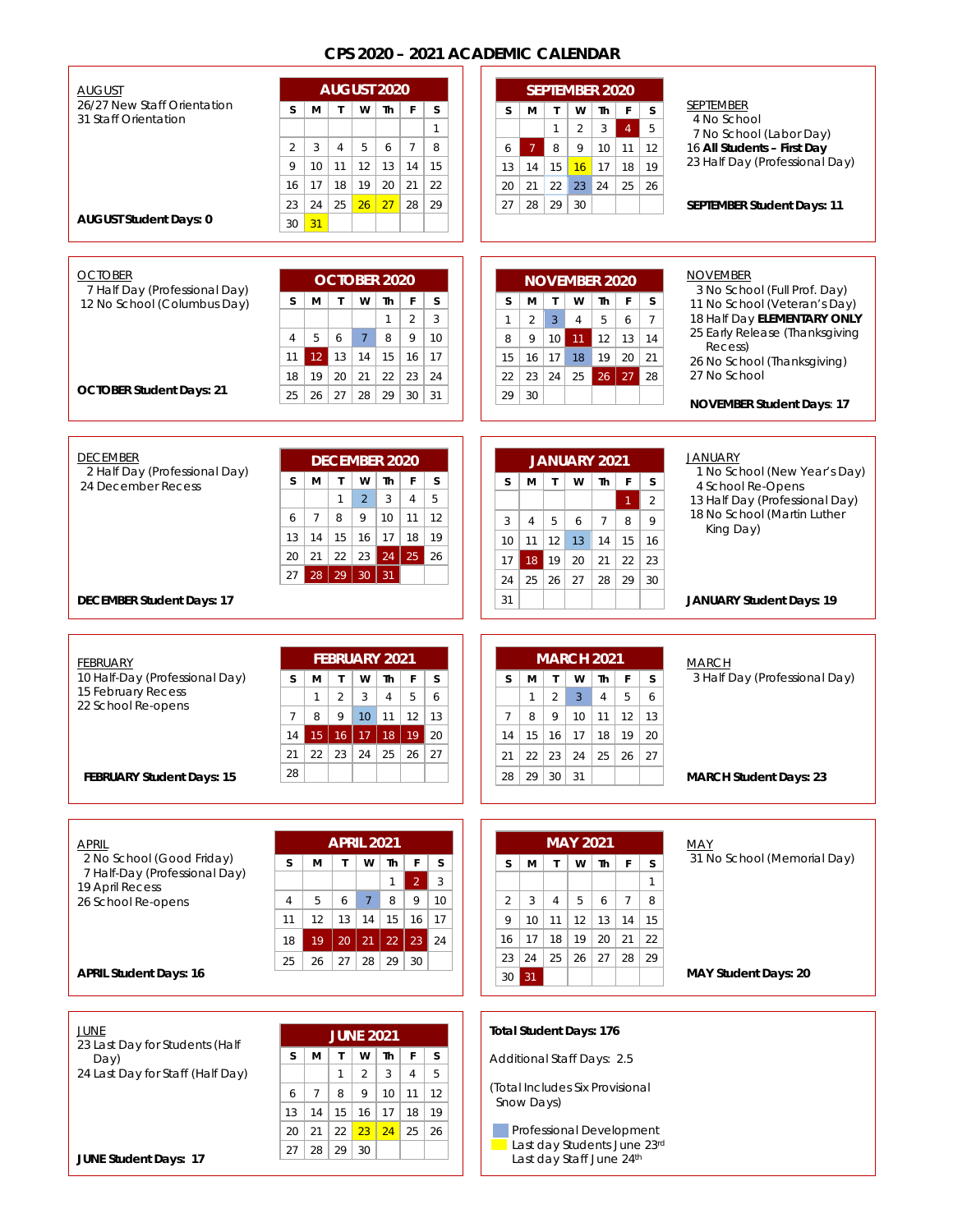## **CPS 2020 – 2021 ACADEMIC CALENDAR**

| <b>AUGUST</b><br>26/27 New Staff Orientation |                |                 |                |                  | AUGUST 2020          |                |              |                                 |                | <b>SEPTEMBER 2020</b> |                 |                |                |                | <b>SEPTEMBER</b>                                              |
|----------------------------------------------|----------------|-----------------|----------------|------------------|----------------------|----------------|--------------|---------------------------------|----------------|-----------------------|-----------------|----------------|----------------|----------------|---------------------------------------------------------------|
| 31 Staff Orientation                         | S              | М               | $\mathsf{T}$   | W                | Th                   | F              | s            | s                               | м              | $\mathbf{I}$          | W               | Th             | $\mathsf{F}$   | S              | 4 No School                                                   |
|                                              |                |                 |                |                  |                      |                | $\mathbf{1}$ |                                 |                | $\mathbf{1}$          | 2               | $\mathbf{3}$   | $\overline{4}$ | 5              | 7 No School (Labor Day)                                       |
|                                              | $\overline{2}$ | 3               | $\overline{4}$ | 5                | 6                    | $\overline{7}$ | 8            | 6                               | $\overline{7}$ | 8                     | 9               | 10             | 11             | 12             | 16 All Students - First Day                                   |
|                                              | 9              | 10              | 11             | 12               | 13                   | 14             | 15           | 13                              | 14             | 15                    | 16              | 17             | 18             | 19             | 23 Half Day (Professional Day)                                |
|                                              | 16             | 17              | 18             | 19               | 20                   | 21             | 22           | 20                              | 21             | 22                    | 23              | 24             | 25             | 26             |                                                               |
|                                              | 23             | 24              | 25             | 26               | 27                   | 28             | 29           | 27                              | 28             | 29                    | 30              |                |                |                | <b>SEPTEMBER Student Days: 11</b>                             |
| <b>AUGUST Student Days: 0</b>                | 30             | 31              |                |                  |                      |                |              |                                 |                |                       |                 |                |                |                |                                                               |
|                                              |                |                 |                |                  |                      |                |              |                                 |                |                       |                 |                |                |                |                                                               |
|                                              |                |                 |                |                  |                      |                |              |                                 |                |                       |                 |                |                |                |                                                               |
| <b>OCTOBER</b>                               |                |                 |                |                  | <b>OCTOBER 2020</b>  |                |              |                                 |                | <b>NOVEMBER 2020</b>  |                 |                |                |                | <b>NOVEMBER</b>                                               |
| 7 Half Day (Professional Day)                | s              | м               | $\mathsf{T}$   | W                | Th                   | F              | s            | S                               | м              | $\mathbf{T}$          | W               | Th             | F              | S              | 3 No School (Full Prof. Day)                                  |
| 12 No School (Columbus Day)                  |                |                 |                |                  | 1                    | $\overline{c}$ | 3            | 1                               | $\overline{2}$ | $\overline{3}$        | $\overline{4}$  | 5              | 6              | $\overline{7}$ | 11 No School (Veteran's Day)<br>18 Half Day ELEMENTARY ONLY   |
|                                              | $\overline{4}$ | 5               | 6              | $\overline{7}$   | 8                    | 9              | 10           |                                 | 9              | 10 <sup>1</sup>       | 11              | 12             |                |                | 25 Early Release (Thanksgiving                                |
|                                              |                |                 |                |                  |                      |                |              | 8                               |                |                       |                 |                | 13             | 14             | Recess)                                                       |
|                                              | 11             | 12 <sup>°</sup> | 13             | 14               | 15                   | 16             | 17           | 15                              | 16             | 17                    | 18              | 19             | 20             | 21             | 26 No School (Thanksgiving)                                   |
| <b>OCTOBER Student Days: 21</b>              | 18             | 19              | 20             | 21               | 22                   | 23             | 24           | 22                              | 23             | 24                    | 25              | 26             | 27             | 28             | 27 No School                                                  |
|                                              | 25             | 26              | 27             | 28               | 29                   | 30             | 31           | 29                              | 30             |                       |                 |                |                |                | <b>NOVEMBER Student Days: 17</b>                              |
|                                              |                |                 |                |                  |                      |                |              |                                 |                |                       |                 |                |                |                |                                                               |
|                                              |                |                 |                |                  |                      |                |              |                                 |                |                       |                 |                |                |                |                                                               |
| <b>DECEMBER</b>                              |                |                 |                |                  | <b>DECEMBER 2020</b> |                |              |                                 |                | JANUARY 2021          |                 |                |                |                | <b>JANUARY</b>                                                |
| 2 Half Day (Professional Day)                |                |                 | $\mathsf{T}$   |                  |                      |                |              |                                 |                |                       |                 |                |                |                | 1 No School (New Year's Day)                                  |
| 24 December Recess                           | s              | M               |                | W                | Th                   | F              | s            | s                               | м              | $\mathbf{T}$          | W               | Th             | F              | s              | 4 School Re-Opens                                             |
|                                              |                |                 | $\mathbf{1}$   | $\overline{2}$   | 3                    | $\overline{4}$ | 5            |                                 |                |                       |                 |                | $\overline{1}$ | $\overline{2}$ | 13 Half Day (Professional Day)<br>18 No School (Martin Luther |
|                                              | 6              | $7\overline{ }$ | 8              | 9                | 10                   | 11             | 12           | 3                               | $\overline{4}$ | 5                     | 6               | $\overline{7}$ | 8              | 9              | King Day)                                                     |
|                                              | 13             | 14              | 15             | 16               | 17                   | 18             | 19           | 10                              | 11             | 12                    | 13              | 14             | 15             | 16             |                                                               |
|                                              | 20             | 21              | 22             | 23               | 24                   | $25$ 26        |              | 17                              | $18$ 19        |                       | 20              | 21             | 22             | 23             |                                                               |
|                                              | 27             | 28              |                | 29 30            | $\vert$ 31           |                |              | 24                              | 25             | 26                    | 27              | 28             | 29             | 30             |                                                               |
|                                              |                |                 |                |                  |                      |                |              | 31                              |                |                       |                 |                |                |                | <b>JANUARY Student Days: 19</b>                               |
|                                              |                |                 |                |                  |                      |                |              |                                 |                |                       |                 |                |                |                |                                                               |
| <b>DECEMBER Student Days: 17</b>             |                |                 |                |                  |                      |                |              |                                 |                |                       |                 |                |                |                |                                                               |
|                                              |                |                 |                |                  |                      |                |              |                                 |                |                       |                 |                |                |                |                                                               |
|                                              |                |                 |                |                  |                      |                |              |                                 |                |                       |                 |                |                |                |                                                               |
| <b>FEBRUARY</b>                              |                |                 |                |                  | <b>FEBRUARY 2021</b> |                |              |                                 |                | <b>MARCH 2021</b>     |                 |                |                |                | <b>MARCH</b>                                                  |
| 10 Half-Day (Professional Day)               | s              | М               | $\mathsf{T}$   | W                | Th                   | F              | s            | S                               | м              | $\mathsf{T}$          | W               | Th             | F              | S              | 3 Half Day (Professional Day)                                 |
| 15 February Recess<br>22 School Re-opens     |                | $\mathbf{1}$    | $\overline{2}$ | 3                | $\overline{4}$       | 5              | 6            |                                 | $\mathbf{1}$   | $\sqrt{2}$            | $\overline{3}$  | $\overline{4}$ | 5              | 6              |                                                               |
|                                              | $\overline{7}$ | 8               | 9              | 10 <sup>°</sup>  | 11                   | 12             | 13           | $\overline{7}$                  | 8              | 9                     | 10              | 11             | 12             | 13             |                                                               |
|                                              | 14             | 15              | $16\,$         | 17               | 18                   | 19             | 20           | 14                              | 15             | 16                    | 17              | 18             | 19             | 20             |                                                               |
|                                              | 21             | 22              | 23             | 24               | 25                   | 26             | 27           | 21                              | 22             | 23                    | 24              | 25             | 26             | 27             |                                                               |
|                                              | 28             |                 |                |                  |                      |                |              | 28                              | 29             | 30 <sup>°</sup>       | 31              |                |                |                |                                                               |
| <b>FEBRUARY Student Days: 15</b>             |                |                 |                |                  |                      |                |              |                                 |                |                       |                 |                |                |                | <b>MARCH Student Days: 23</b>                                 |
|                                              |                |                 |                |                  |                      |                |              |                                 |                |                       |                 |                |                |                |                                                               |
|                                              |                |                 |                |                  |                      |                |              |                                 |                |                       |                 |                |                |                |                                                               |
| <b>APRIL</b>                                 |                |                 |                |                  | <b>APRIL 2021</b>    |                |              |                                 |                |                       | <b>MAY 2021</b> |                |                |                | MAY                                                           |
| 2 No School (Good Friday)                    | S              | М               | $\mathbf{T}$   | W                | Th                   | F              | S            | S                               | м              | $\mathsf{T}$          | W               | Th             | F              | S              | 31 No School (Memorial Day)                                   |
| 7 Half-Day (Professional Day)                |                |                 |                |                  | 1                    | $\overline{2}$ | 3            |                                 |                |                       |                 |                |                | $\mathbf{1}$   |                                                               |
| 19 April Recess<br>26 School Re-opens        | 4              | 5               | 6              | $\overline{7}$   | 8                    | 9              | 10           | 2                               | 3              | $\overline{4}$        | 5               | 6              | $\overline{7}$ | 8              |                                                               |
|                                              | 11             | 12              | 13             | 14               | 15                   | 16             | 17           | 9                               | 10             | 11                    | 12              | 13             | 14             | 15             |                                                               |
|                                              |                |                 |                |                  |                      |                |              | 16                              | 17             | 18                    | 19              | 20             | 21             | 22             |                                                               |
|                                              | 18             | 19              | 20             | 21               | 22                   | 23             | 24           |                                 |                |                       |                 |                |                |                |                                                               |
|                                              | 25             | 26              | 27             | 28               | 29                   | 30             |              | 23                              | 24             | 25                    | 26              | 27             | 28             | 29             |                                                               |
| <b>APRIL Student Days: 16</b>                |                |                 |                |                  |                      |                |              | 30                              | 31             |                       |                 |                |                |                | <b>MAY Student Days: 20</b>                                   |
|                                              |                |                 |                |                  |                      |                |              |                                 |                |                       |                 |                |                |                |                                                               |
|                                              |                |                 |                |                  |                      |                |              |                                 |                |                       |                 |                |                |                |                                                               |
| <b>JUNE</b>                                  |                |                 |                | <b>JUNE 2021</b> |                      |                |              | <b>Total Student Days: 176</b>  |                |                       |                 |                |                |                |                                                               |
| 23 Last Day for Students (Half<br>Day)       | s              | м               | $\mathsf{T}$   | W                | Th                   | F              | S            | Additional Staff Days: 2.5      |                |                       |                 |                |                |                |                                                               |
| 24 Last Day for Staff (Half Day)             |                |                 | 1              | $\overline{2}$   | 3                    | 4              | 5            |                                 |                |                       |                 |                |                |                |                                                               |
|                                              | 6              | $\overline{7}$  | 8              | 9                | 10                   | 11             | 12           | (Total Includes Six Provisional | Snow Days)     |                       |                 |                |                |                |                                                               |

20 | 21 | 22 <mark>| 23 | 24 |</mark> 25 | 26

**Professional Development Last day Students June 23rd** Last day Staff June 24th

 $27$   $28$   $29$  30

**JUNE Student Days: 17**